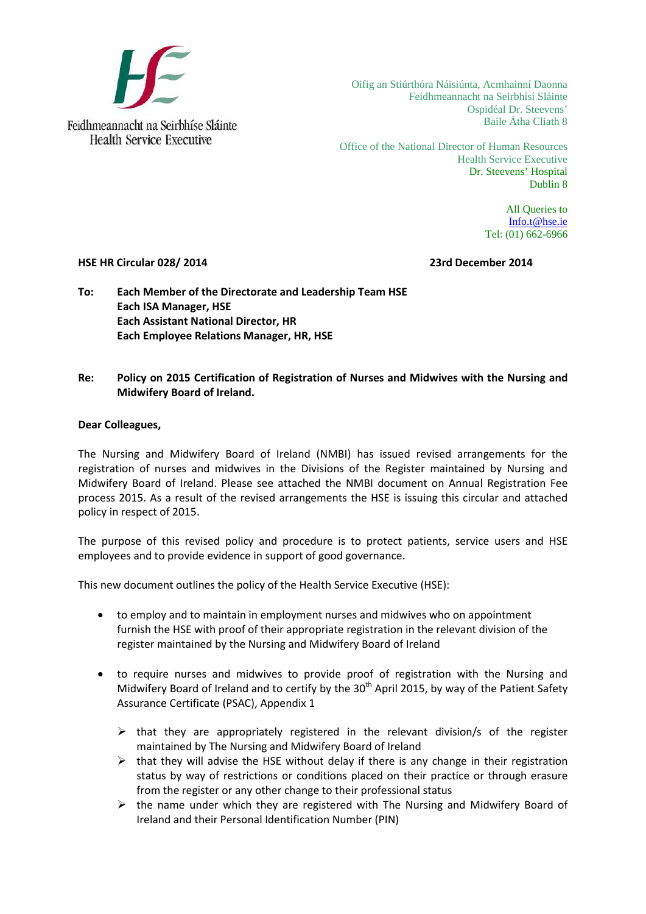

Office of the National Director of Human Resources Health Service Executive Dr. Steevens' Hospital Dublin 8

> All Queries to [Info.t@hse.ie](mailto:Info.t@hse.ie) Tel: (01) 662-6966

### **HSE HR Circular 028/ 2014 23rd December 2014**

**To: Each Member of the Directorate and Leadership Team HSE Each ISA Manager, HSE Each Assistant National Director, HR Each Employee Relations Manager, HR, HSE**

## **Re: Policy on 2015 Certification of Registration of Nurses and Midwives with the Nursing and Midwifery Board of Ireland.**

## **Dear Colleagues,**

The Nursing and Midwifery Board of Ireland (NMBI) has issued revised arrangements for the registration of nurses and midwives in the Divisions of the Register maintained by Nursing and Midwifery Board of Ireland. Please see attached the NMBI document on Annual Registration Fee process 2015. As a result of the revised arrangements the HSE is issuing this circular and attached policy in respect of 2015.

The purpose of this revised policy and procedure is to protect patients, service users and HSE employees and to provide evidence in support of good governance.

This new document outlines the policy of the Health Service Executive (HSE):

- to employ and to maintain in employment nurses and midwives who on appointment furnish the HSE with proof of their appropriate registration in the relevant division of the register maintained by the Nursing and Midwifery Board of Ireland
- to require nurses and midwives to provide proof of registration with the Nursing and Midwifery Board of Ireland and to certify by the 30<sup>th</sup> April 2015, by way of the Patient Safety Assurance Certificate (PSAC), Appendix 1
	- $\triangleright$  that they are appropriately registered in the relevant division/s of the register maintained by The Nursing and Midwifery Board of Ireland
	- $\triangleright$  that they will advise the HSE without delay if there is any change in their registration status by way of restrictions or conditions placed on their practice or through erasure from the register or any other change to their professional status
	- $\triangleright$  the name under which they are registered with The Nursing and Midwifery Board of Ireland and their Personal Identification Number (PIN)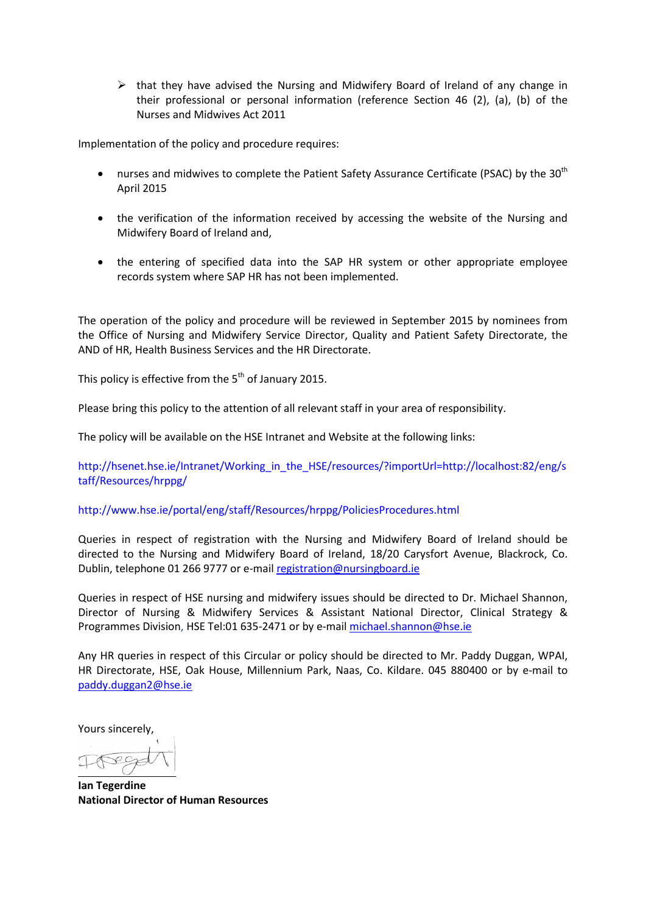$\triangleright$  that they have advised the Nursing and Midwifery Board of Ireland of any change in their professional or personal information (reference Section 46 (2), (a), (b) of the Nurses and Midwives Act 2011

Implementation of the policy and procedure requires:

- nurses and midwives to complete the Patient Safety Assurance Certificate (PSAC) by the 30<sup>th</sup> April 2015
- the verification of the information received by accessing the website of the Nursing and Midwifery Board of Ireland and,
- the entering of specified data into the SAP HR system or other appropriate employee records system where SAP HR has not been implemented.

The operation of the policy and procedure will be reviewed in September 2015 by nominees from the Office of Nursing and Midwifery Service Director, Quality and Patient Safety Directorate, the AND of HR, Health Business Services and the HR Directorate.

This policy is effective from the  $5<sup>th</sup>$  of January 2015.

Please bring this policy to the attention of all relevant staff in your area of responsibility.

The policy will be available on the HSE Intranet and Website at the following links:

http://hsenet.hse.ie/Intranet/Working\_in\_the\_HSE/resources/?importUrl=http://localhost:82/eng/s taff/Resources/hrppg/

### http://www.hse.ie/portal/eng/staff/Resources/hrppg/PoliciesProcedures.html

Queries in respect of registration with the Nursing and Midwifery Board of Ireland should be directed to the Nursing and Midwifery Board of Ireland, 18/20 Carysfort Avenue, Blackrock, Co. Dublin, telephone 01 266 9777 or e-mail [registration@nursingboard.ie](mailto:registration@nursingboard.ie)

Queries in respect of HSE nursing and midwifery issues should be directed to Dr. Michael Shannon, Director of Nursing & Midwifery Services & Assistant National Director, Clinical Strategy & Programmes Division, HSE Tel:01 635-2471 or by e-mail [michael.shannon@hse.ie](mailto:michael.shannon@hse.ie)

Any HR queries in respect of this Circular or policy should be directed to Mr. Paddy Duggan, WPAI, HR Directorate, HSE, Oak House, Millennium Park, Naas, Co. Kildare. 045 880400 or by e-mail to paddy.duggan2@hse.ie

Yours sincerely,

**Ian Tegerdine National Director of Human Resources**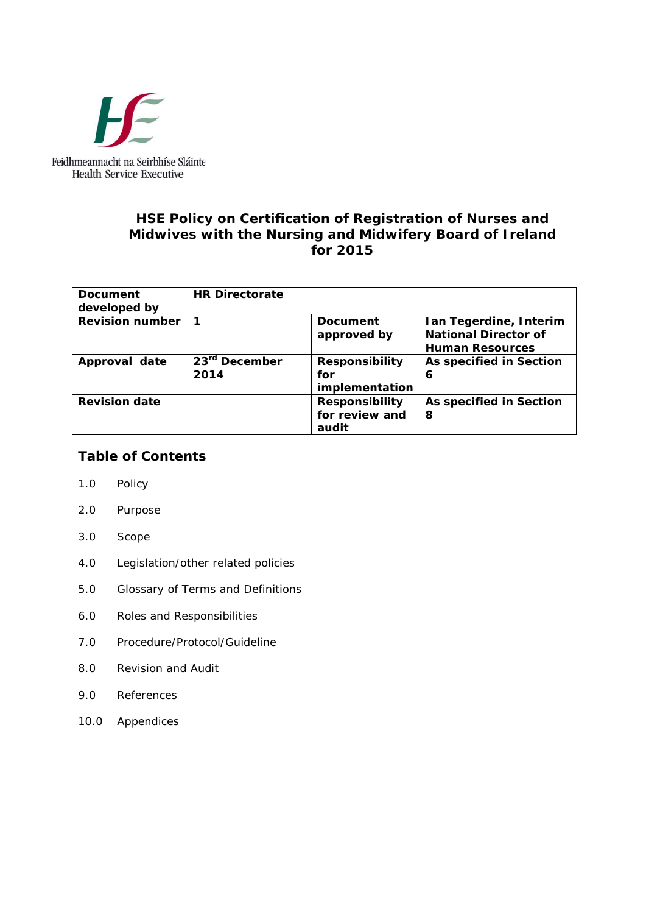

# **HSE Policy on Certification of Registration of Nurses and Midwives with the Nursing and Midwifery Board of Ireland for 2015**

| <b>Document</b><br>developed by | <b>HR Directorate</b>             |                                                  |                                                                                 |
|---------------------------------|-----------------------------------|--------------------------------------------------|---------------------------------------------------------------------------------|
| <b>Revision number</b>          | 1                                 | <b>Document</b><br>approved by                   | Ian Tegerdine, Interim<br><b>National Director of</b><br><b>Human Resources</b> |
| Approval date                   | 23 <sup>rd</sup> December<br>2014 | <b>Responsibility</b><br>for<br>implementation   | As specified in Section<br>6                                                    |
| <b>Revision date</b>            |                                   | <b>Responsibility</b><br>for review and<br>audit | As specified in Section<br>8                                                    |

# **Table of Contents**

- 1.0 Policy
- 2.0 Purpose
- 3.0 Scope
- 4.0 Legislation/other related policies
- 5.0 Glossary of Terms and Definitions
- 6.0 Roles and Responsibilities
- 7.0 Procedure/Protocol/Guideline
- 8.0 Revision and Audit
- 9.0 References
- 10.0 Appendices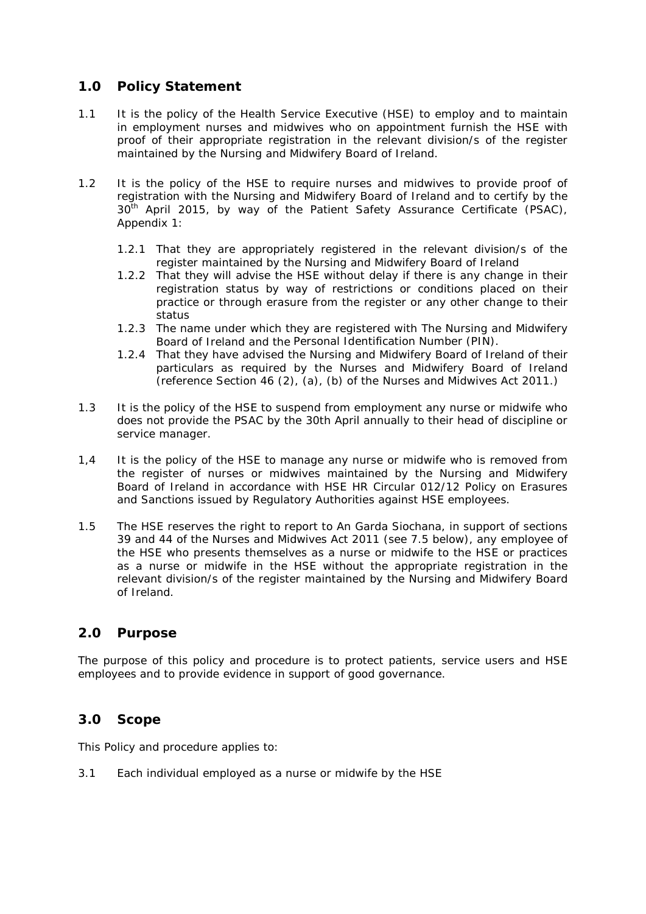# **1.0 Policy Statement**

- 1.1 It is the policy of the Health Service Executive (HSE) to employ and to maintain in employment nurses and midwives who on appointment furnish the HSE with proof of their appropriate registration in the relevant division/s of the register maintained by the Nursing and Midwifery Board of Ireland.
- 1.2 It is the policy of the HSE to require nurses and midwives to provide proof of registration with the Nursing and Midwifery Board of Ireland and to certify by the 30<sup>th</sup> April 2015, by way of the Patient Safety Assurance Certificate (PSAC), Appendix 1:
	- 1.2.1 That they are appropriately registered in the relevant division/s of the register maintained by the Nursing and Midwifery Board of Ireland
	- 1.2.2 That they will advise the HSE without delay if there is any change in their registration status by way of restrictions or conditions placed on their practice or through erasure from the register or any other change to their status
	- 1.2.3 The name under which they are registered with The Nursing and Midwifery Board of Ireland and the Personal Identification Number (PIN).
	- 1.2.4 That they have advised the Nursing and Midwifery Board of Ireland of their particulars as required by the Nurses and Midwifery Board of Ireland (reference Section 46 (2), (a), (b) of the Nurses and Midwives Act 2011.)
- 1.3 It is the policy of the HSE to suspend from employment any nurse or midwife who does not provide the PSAC by the 30th April annually to their head of discipline or service manager.
- 1,4 It is the policy of the HSE to manage any nurse or midwife who is removed from the register of nurses or midwives maintained by the Nursing and Midwifery Board of Ireland in accordance with *HSE HR Circular 012/12 Policy on Erasures and Sanctions issued by Regulatory Authorities against HSE employees*.
- 1.5 The HSE reserves the right to report to An Garda Siochana, in support of sections 39 and 44 of the Nurses and Midwives Act 2011 (see 7.5 below), any employee of the HSE who presents themselves as a nurse or midwife to the HSE or practices as a nurse or midwife in the HSE without the appropriate registration in the relevant division/s of the register maintained by the Nursing and Midwifery Board of Ireland.

# **2.0 Purpose**

The purpose of this policy and procedure is to protect patients, service users and HSE employees and to provide evidence in support of good governance.

# **3.0 Scope**

This Policy and procedure applies to:

3.1 Each individual employed as a nurse or midwife by the HSE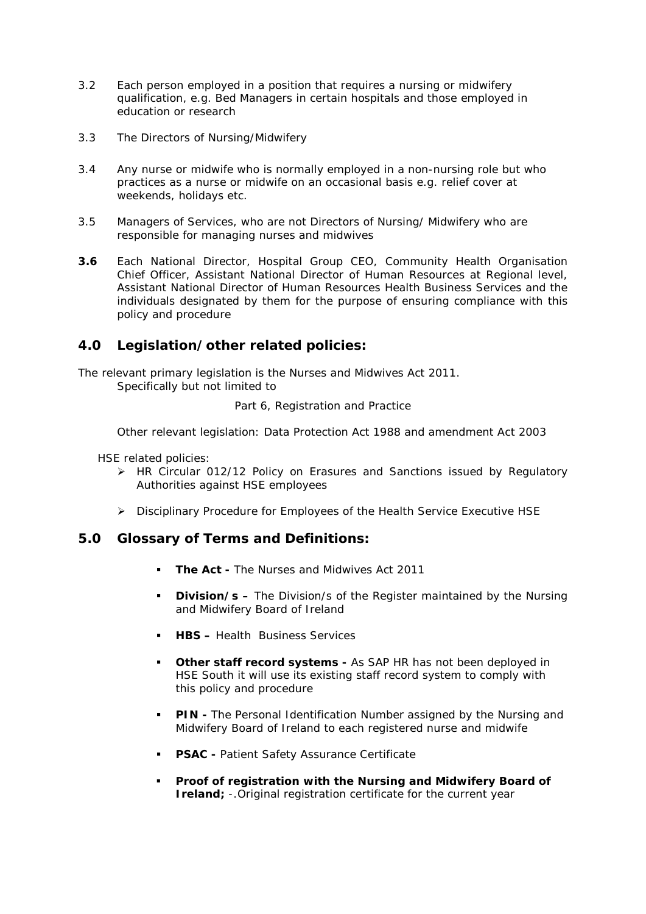- 3.2 Each person employed in a position that requires a nursing or midwifery qualification, e.g. Bed Managers in certain hospitals and those employed in education or research
- 3.3 The Directors of Nursing/Midwifery
- 3.4 Any nurse or midwife who is normally employed in a non-nursing role but who practices as a nurse or midwife on an occasional basis e.g. relief cover at weekends, holidays etc.
- 3.5 Managers of Services, who are not Directors of Nursing/ Midwifery who are responsible for managing nurses and midwives
- **3.6** Each National Director, Hospital Group CEO, Community Health Organisation Chief Officer, Assistant National Director of Human Resources at Regional level, Assistant National Director of Human Resources Health Business Services and the individuals designated by them for the purpose of ensuring compliance with this policy and procedure

# **4.0 Legislation/other related policies:**

The relevant primary legislation is the Nurses and Midwives Act 2011. Specifically but not limited to

Part 6, Registration and Practice

Other relevant legislation: Data Protection Act 1988 and amendment Act 2003

HSE related policies:

- $\triangleright$  HR Circular 012/12 Policy on Erasures and Sanctions issued by Regulatory Authorities against HSE employees
- Disciplinary Procedure for Employees of the Health Service Executive *HSE*

# **5.0 Glossary of Terms and Definitions:**

- **The Act -** The Nurses and Midwives Act 2011
- **Division/s –** The Division/s of the Register maintained by the Nursing and Midwifery Board of Ireland
- **HBS –** Health Business Services
- **Other staff record systems -** As SAP HR has not been deployed in HSE South it will use its existing staff record system to comply with this policy and procedure
- **PIN -** The Personal Identification Number assigned by the Nursing and Midwifery Board of Ireland to each registered nurse and midwife
- **PSAC Patient Safety Assurance Certificate**
- **Proof of registration with the Nursing and Midwifery Board of Ireland**; -. Original registration certificate for the current year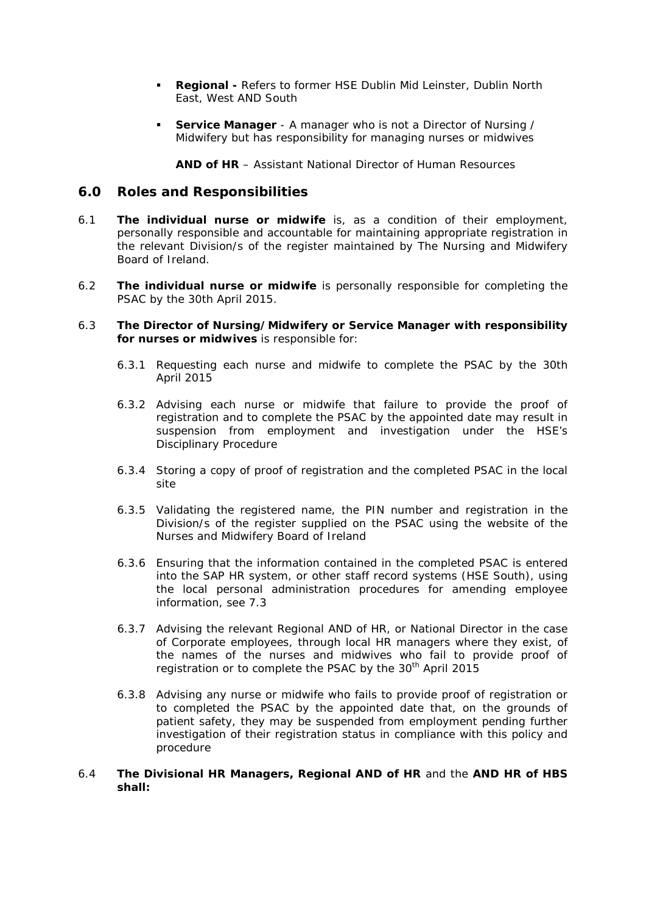- **Regional -** Refers to former HSE Dublin Mid Leinster, Dublin North East, West AND South
- **Service Manager** A manager who is not a Director of Nursing / Midwifery but has responsibility for managing nurses or midwives

**AND of HR** – Assistant National Director of Human Resources

## **6.0 Roles and Responsibilities**

- 6.1 **The individual nurse or midwife** is, as a condition of their employment, personally responsible and accountable for maintaining appropriate registration in the relevant Division/s of the register maintained by The Nursing and Midwifery Board of Ireland.
- 6.2 **The individual nurse or midwife** is personally responsible for completing the PSAC by the 30th April 2015.

#### 6.3 **The Director of Nursing/Midwifery or Service Manager with responsibility for nurses or midwives** is responsible for:

- 6.3.1 Requesting each nurse and midwife to complete the PSAC by the 30th April 2015
- 6.3.2 Advising each nurse or midwife that failure to provide the proof of registration and to complete the PSAC by the appointed date may result in suspension from employment and investigation under the HSE's Disciplinary Procedure
- 6.3.4 Storing a copy of proof of registration and the completed PSAC in the local site
- 6.3.5 Validating the registered name, the PIN number and registration in the Division/s of the register supplied on the PSAC using the website of the Nurses and Midwifery Board of Ireland
- 6.3.6 Ensuring that the information contained in the completed PSAC is entered into the SAP HR system, or other staff record systems (HSE South), using the local personal administration procedures for amending employee information, see 7.3
- 6.3.7 Advising the relevant Regional AND of HR, or National Director in the case of Corporate employees, through local HR managers where they exist, of the names of the nurses and midwives who fail to provide proof of registration or to complete the PSAC by the 30<sup>th</sup> April 2015
- 6.3.8 Advising any nurse or midwife who fails to provide proof of registration or to completed the PSAC by the appointed date that, on the grounds of patient safety, they may be suspended from employment pending further investigation of their registration status in compliance with this policy and procedure

#### 6.4 **The Divisional HR Managers, Regional AND of HR** and the **AND HR of HBS shall:**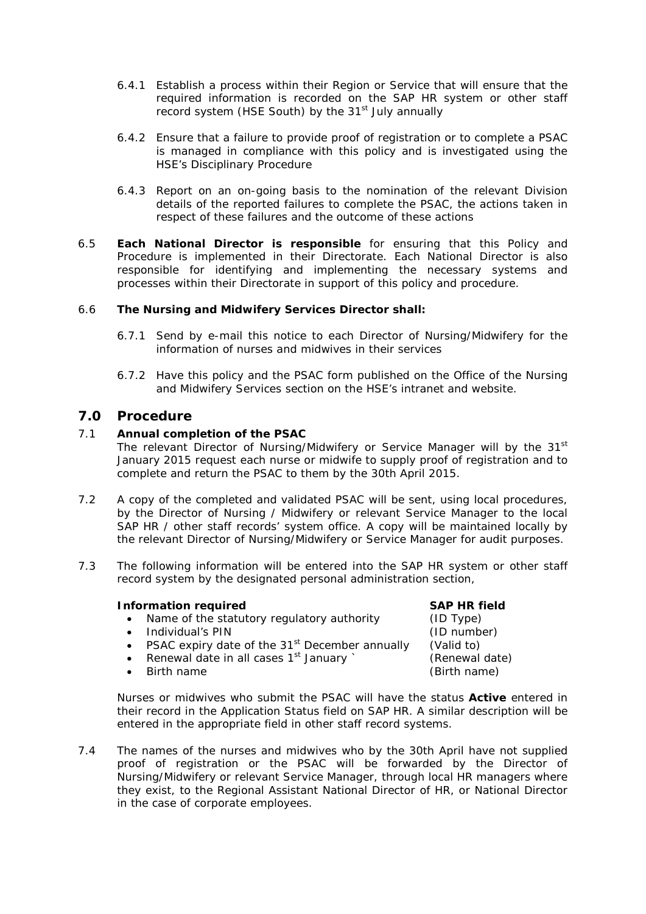- 6.4.1 Establish a process within their Region or Service that will ensure that the required information is recorded on the SAP HR system or other staff record system (HSE South) by the 31<sup>st</sup> July annually
- 6.4.2 Ensure that a failure to provide proof of registration or to complete a PSAC is managed in compliance with this policy and is investigated using the HSE's Disciplinary Procedure
- 6.4.3 Report on an on-going basis to the nomination of the relevant Division details of the reported failures to complete the PSAC, the actions taken in respect of these failures and the outcome of these actions
- 6.5 **Each National Director is responsible** for ensuring that this Policy and Procedure is implemented in their Directorate. Each National Director is also responsible for identifying and implementing the necessary systems and processes within their Directorate in support of this policy and procedure.

### 6.6 **The Nursing and Midwifery Services Director shall:**

- 6.7.1 Send by e-mail this notice to each Director of Nursing/Midwifery for the information of nurses and midwives in their services
- 6.7.2 Have this policy and the PSAC form published on the Office of the Nursing and Midwifery Services section on the HSE's intranet and website.

## **7.0 Procedure**

## 7.1 **Annual completion of the PSAC**

The relevant Director of Nursing/Midwifery or Service Manager will by the 31<sup>st</sup> January 2015 request each nurse or midwife to supply proof of registration and to complete and return the PSAC to them by the 30th April 2015.

- 7.2 A copy of the completed and validated PSAC will be sent, using local procedures, by the Director of Nursing / Midwifery or relevant Service Manager to the local SAP HR / other staff records' system office. A copy will be maintained locally by the relevant Director of Nursing/Midwifery or Service Manager for audit purposes.
- 7.3 The following information will be entered into the SAP HR system or other staff record system by the designated personal administration section,

### **Information required SAP HR field**

- Name of the statutory regulatory authority (ID Type)
- Individual's PIN (ID number)
- PSAC expiry date of the  $31<sup>st</sup>$  December annually (Valid to)
- Renewal date in all cases  $1<sup>st</sup>$  January ` (Renewal date)
- 

• Birth name (Birth name)

Nurses or midwives who submit the PSAC will have the status *Active* entered in their record in the *Application Status* field on SAP HR. A similar description will be entered in the appropriate field in other staff record systems.

7.4 The names of the nurses and midwives who by the 30th April have not supplied proof of registration or the PSAC will be forwarded by the Director of Nursing/Midwifery or relevant Service Manager, through local HR managers where they exist, to the Regional Assistant National Director of HR, or National Director in the case of corporate employees.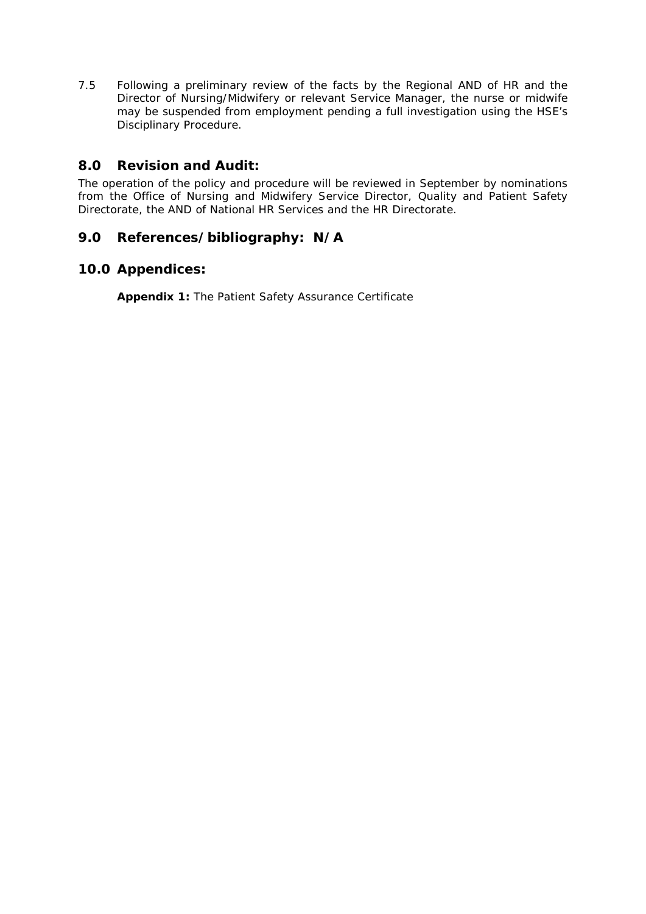7.5 Following a preliminary review of the facts by the Regional AND of HR and the Director of Nursing/Midwifery or relevant Service Manager, the nurse or midwife may be suspended from employment pending a full investigation using the HSE's Disciplinary Procedure.

# **8.0 Revision and Audit:**

The operation of the policy and procedure will be reviewed in September by nominations from the Office of Nursing and Midwifery Service Director, Quality and Patient Safety Directorate, the AND of National HR Services and the HR Directorate.

# **9.0 References/bibliography: N/A**

# **10.0 Appendices:**

**Appendix 1:** The Patient Safety Assurance Certificate